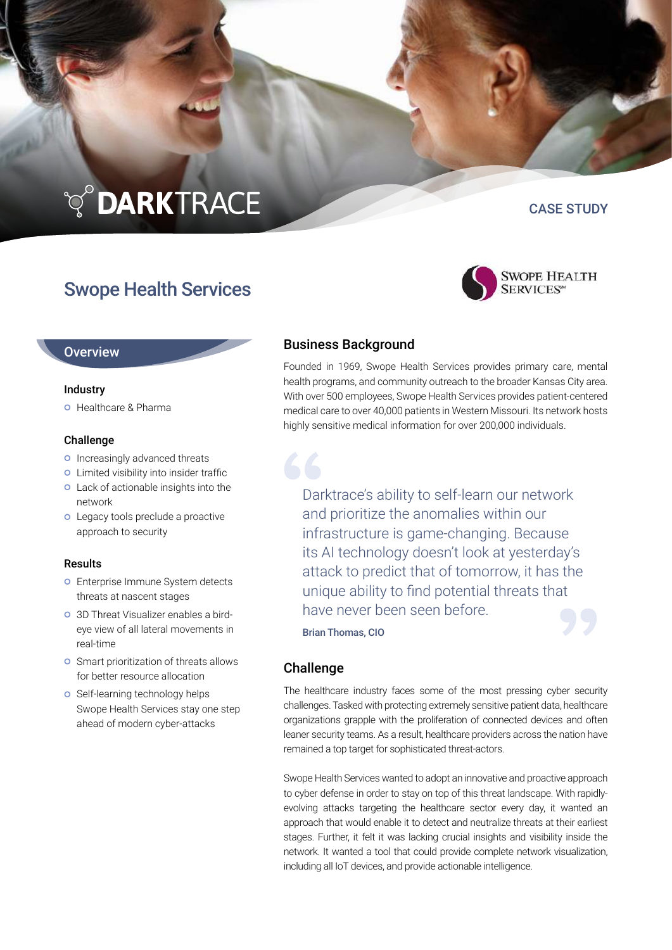# **TO DARKTRACE**

### Swope Health Services

## CASE STUDY



#### **Overview**

#### **Industry**

**O** Healthcare & Pharma

#### Challenge

- o Increasingly advanced threats
- **o** Limited visibility into insider traffic
- Lack of actionable insights into the network
- **O** Legacy tools preclude a proactive approach to security

#### Results

- **o** Enterprise Immune System detects threats at nascent stages
- 3D Threat Visualizer enables a birdeye view of all lateral movements in real-time
- **o** Smart prioritization of threats allows for better resource allocation
- o Self-learning technology helps Swope Health Services stay one step ahead of modern cyber-attacks

#### Business Background

Founded in 1969, Swope Health Services provides primary care, mental health programs, and community outreach to the broader Kansas City area. With over 500 employees, Swope Health Services provides patient-centered medical care to over 40,000 patients in Western Missouri. Its network hosts highly sensitive medical information for over 200,000 individuals.

Darktrace's ability to self-learn our network and prioritize the anomalies within our infrastructure is game-changing. Because its AI technology doesn't look at yesterday's attack to predict that of tomorrow, it has the unique ability to find potential threats that have never been seen before.

Brian Thomas, CIO

#### Challenge

The healthcare industry faces some of the most pressing cyber security challenges. Tasked with protecting extremely sensitive patient data, healthcare organizations grapple with the proliferation of connected devices and often leaner security teams. As a result, healthcare providers across the nation have remained a top target for sophisticated threat-actors.

Swope Health Services wanted to adopt an innovative and proactive approach to cyber defense in order to stay on top of this threat landscape. With rapidlyevolving attacks targeting the healthcare sector every day, it wanted an approach that would enable it to detect and neutralize threats at their earliest stages. Further, it felt it was lacking crucial insights and visibility inside the network. It wanted a tool that could provide complete network visualization, including all IoT devices, and provide actionable intelligence.